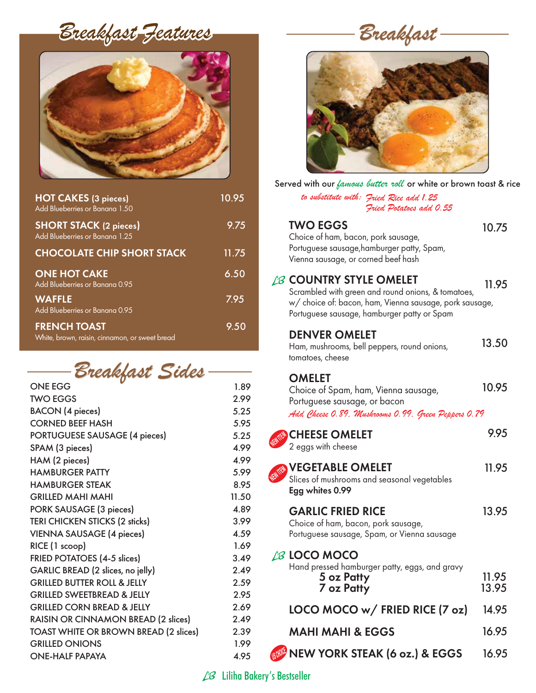*Breakfast Features*



| <b>HOT CAKES (3 pieces)</b><br>Add Blueberries or Banana 1.50         | 10.95 |
|-----------------------------------------------------------------------|-------|
| <b>SHORT STACK (2 pieces)</b><br>Add Blueberries or Banana 1.25       | 9.75  |
| <b>CHOCOLATE CHIP SHORT STACK</b>                                     | 11.75 |
| <b>ONE HOT CAKE</b><br>Add Blueberries or Banana 0.95                 | 6.50  |
| <b>WAFFLE</b><br>Add Blueberries or Banana 0.95                       | 7.95  |
| <b>FRENCH TOAST</b><br>White, brown, raisin, cinnamon, or sweet bread | 9.50  |

| Breakfast Sides- |  |
|------------------|--|
|------------------|--|

| v<br><b>ONE EGG</b>                        | 1.89  |
|--------------------------------------------|-------|
| <b>TWO EGGS</b>                            | 2.99  |
| <b>BACON</b> (4 pieces)                    | 5.25  |
| <b>CORNED BEEF HASH</b>                    | 5.95  |
| <b>PORTUGUESE SAUSAGE (4 pieces)</b>       | 5.25  |
| SPAM (3 pieces)                            | 4.99  |
| HAM (2 pieces)                             | 4.99  |
| <b>HAMBURGER PATTY</b>                     | 5.99  |
| <b>HAMBURGER STEAK</b>                     | 8.95  |
| <b>GRILLED MAHI MAHI</b>                   | 11.50 |
| <b>PORK SAUSAGE (3 pieces)</b>             | 4.89  |
| <b>TERI CHICKEN STICKS (2 sticks)</b>      | 3.99  |
| <b>VIENNA SAUSAGE (4 pieces)</b>           | 4.59  |
| RICE (1 scoop)                             | 1.69  |
| <b>FRIED POTATOES (4-5 slices)</b>         | 3.49  |
| GARLIC BREAD (2 slices, no jelly)          | 2.49  |
| <b>GRILLED BUTTER ROLL &amp; JELLY</b>     | 2.59  |
| <b>GRILLED SWEETBREAD &amp; JELLY</b>      | 2.95  |
| <b>GRILLED CORN BREAD &amp; JELLY</b>      | 2.69  |
| <b>RAISIN OR CINNAMON BREAD (2 slices)</b> | 2.49  |
| TOAST WHITE OR BROWN BREAD (2 slices)      | 2.39  |
| <b>GRILLED ONIONS</b>                      | 1.99  |
| <b>ONE-HALF PAPAYA</b>                     | 4.95  |
|                                            |       |

*Breakfast* 



Served with our *famous butter roll* or white or brown toast & rice

| Jerved with our <i>famous batter roll</i> or while or prown foust & ric<br>to substitute with: Fried Rice add 1.25<br>Fried Potatoes add 0.55                                                  |                |
|------------------------------------------------------------------------------------------------------------------------------------------------------------------------------------------------|----------------|
| <b>TWO EGGS</b><br>Choice of ham, bacon, pork sausage,<br>Portuguese sausage, hamburger patty, Spam,<br>Vienna sausage, or corned beef hash                                                    | 10.75          |
| <b>LB COUNTRY STYLE OMELET</b><br>Scrambled with green and round onions, & tomatoes,<br>w/ choice of: bacon, ham, Vienna sausage, pork sausage,<br>Portuguese sausage, hamburger patty or Spam | 11.95          |
| <b>DENVER OMELET</b><br>Ham, mushrooms, bell peppers, round onions,<br>tomatoes, cheese                                                                                                        | 13.50          |
| <b>OMELET</b><br>Choice of Spam, ham, Vienna sausage,<br>Portuguese sausage, or bacon<br>Add Cheese 0.89. Mushrooms 0.99. Green Peppers 0.79                                                   | 10.95          |
| <b>CHEESE OMELET</b><br>2 eggs with cheese                                                                                                                                                     | 9.95           |
| <b>VEGETABLE OMELET</b><br>Slices of mushrooms and seasonal vegetables<br>Egg whites 0.99                                                                                                      | 11.95          |
| <b>GARLIC FRIED RICE</b><br>Choice of ham, bacon, pork sausage,<br>Portuguese sausage, Spam, or Vienna sausage                                                                                 | 13.95          |
| <b>LB LOCO MOCO</b><br>Hand pressed hamburger patty, eggs, and gravy<br>5 oz Patty<br>7 oz Patty                                                                                               | 11.95<br>13.95 |
| LOCO MOCO w/ FRIED RICE (7 oz)                                                                                                                                                                 | 14.95          |
| <b>MAHI MAHI &amp; EGGS</b>                                                                                                                                                                    | 16.95          |

NEW YORK STEAK (6 oz.) & EGGS

16.95

 $L$ <sup>3</sup> Liliha Bakery's Bestseller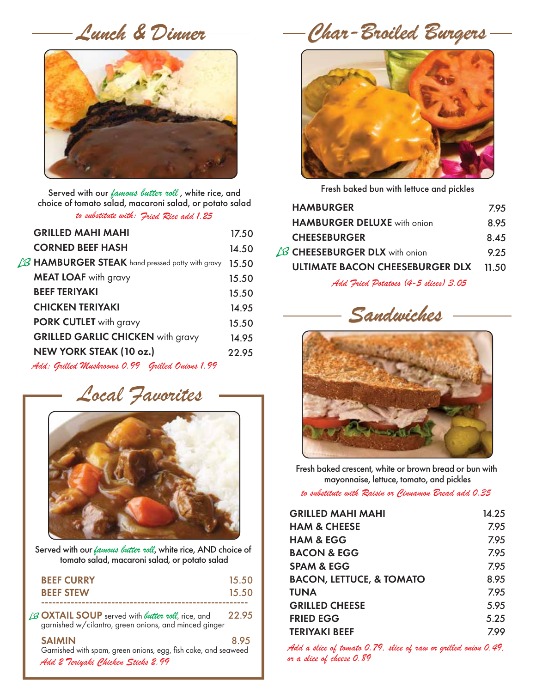

Served with our *famous butter roll* , white rice, and choice of tomato salad, macaroni salad, or potato salad *to substitute with: Fried Rice add 1.25*

| <b>GRILLED MAHI MAHI</b>                                 | 17.50 |
|----------------------------------------------------------|-------|
| <b>CORNED BEEF HASH</b>                                  | 14.50 |
| $\angle$ B HAMBURGER STEAK hand pressed patty with gravy | 15.50 |
| <b>MEAT LOAF</b> with gravy                              | 15.50 |
| <b>BEEF TERIYAKI</b>                                     | 15.50 |
| <b>CHICKEN TERIYAKI</b>                                  | 14.95 |
| <b>PORK CUTLET</b> with gravy                            | 15.50 |
| <b>GRILLED GARLIC CHICKEN</b> with gravy                 | 14.95 |
| NEW YORK STEAK (10 oz.)                                  | 22.95 |
| Add: Grilled Mushrooms 0.99 Grilled Onions 1.99          |       |

## *Local Favorites*



Served with our *famous butter roll*, white rice, AND choice of tomato salad, macaroni salad, or potato salad

| <b>BEEF CURRY</b><br><b>BEEF STEW</b>                                                                                     | 15.50<br>15.50 |
|---------------------------------------------------------------------------------------------------------------------------|----------------|
| LB <b>OXTAIL SOUP</b> served with <i>butter roll</i> , rice, and<br>garnished w/cilantro, green onions, and minced ginger | 22.95          |
| <b>SAIMIN</b><br>Garnished with spam, green onions, egg, fish cake, and seaweed<br>Add 2 Teriyaki Chicken Sticks 2.99     | 895            |

*Lunch & Dinner Char-Broiled Burgers*



Fresh baked bun with lettuce and pickles

| <b>HAMBURGER</b>                       | 7.95  |
|----------------------------------------|-------|
| <b>HAMBURGER DELUXE</b> with onion     | 8.95  |
| <b>CHEESEBURGER</b>                    | 8.45  |
| $\angle$ B CHEESEBURGER DLX with onion | 9.25  |
| ULTIMATE BACON CHEESEBURGER DLX        | 11.50 |
|                                        |       |

*Add Fried Potatoes (4-5 slices) 3.05*





Fresh baked crescent, white or brown bread or bun with mayonnaise, lettuce, tomato, and pickles

*to substitute with Raisin or Cinnamon Bread add 0.35* 

| <b>GRILLED MAHI MAHI</b>            | 14.25 |
|-------------------------------------|-------|
| <b>HAM &amp; CHEESE</b>             | 7.95  |
| <b>HAM &amp; EGG</b>                | 795   |
| <b>BACON &amp; EGG</b>              | 7.95  |
| <b>SPAM &amp; EGG</b>               | 7.95  |
| <b>BACON, LETTUCE, &amp; TOMATO</b> | 8.95  |
| <b>TUNA</b>                         | 7.95  |
| <b>GRILLED CHEESE</b>               | 5.95  |
| <b>FRIED EGG</b>                    | 5.25  |
| <b>TERIYAKI BEEF</b>                | 7.99  |
|                                     |       |

*Add a slice of tomato 0.79, slice of raw or grilled onion 0.49, or a slice of cheese 0.89*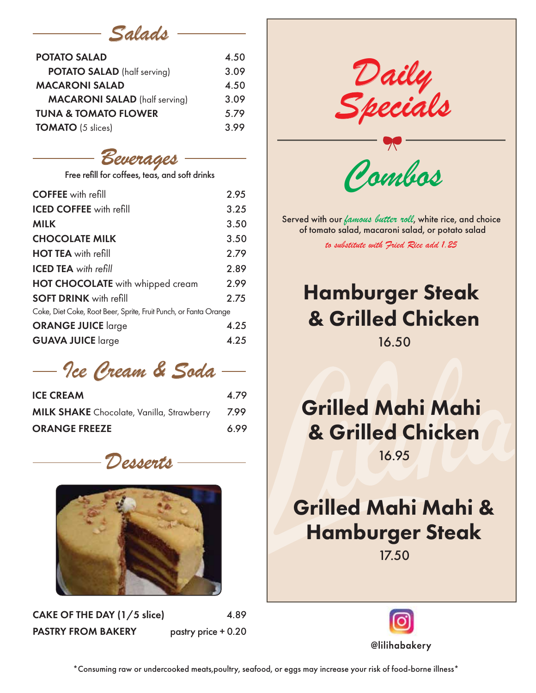## *Salads*

| <b>POTATO SALAD</b>                  | 4.50 |
|--------------------------------------|------|
| <b>POTATO SALAD</b> (half serving)   | 3.09 |
| <b>MACARONI SALAD</b>                | 4.50 |
| <b>MACARONI SALAD</b> (half serving) | 3.09 |
| <b>TUNA &amp; TOMATO FLOWER</b>      | 5.79 |
| <b>TOMATO</b> (5 slices)             | 3.99 |

### *Beverages*

| Free refill for coffees, teas, and soft drinks                   |      |
|------------------------------------------------------------------|------|
| <b>COFFEE</b> with refill                                        | 2.95 |
| <b>ICED COFFEE</b> with refill                                   | 3.25 |
| <b>MILK</b>                                                      | 3.50 |
| <b>CHOCOLATE MILK</b>                                            | 3.50 |
| <b>HOT TEA</b> with refill                                       | 2.79 |
| <b>ICED TEA</b> with refill                                      | 2.89 |
| <b>HOT CHOCOLATE</b> with whipped cream                          | 2.99 |
| <b>SOFT DRINK</b> with refill                                    | 2.75 |
| Coke, Diet Coke, Root Beer, Sprite, Fruit Punch, or Fanta Orange |      |
| <b>ORANGE JUICE</b> large                                        | 4.25 |
| <b>GUAVA JUICE</b> large                                         | 4.25 |
|                                                                  |      |

*Ice Cream & Soda* 

| <b>ICE CREAM</b>                                 | 4.79 |
|--------------------------------------------------|------|
| <b>MILK SHAKE</b> Chocolate, Vanilla, Strawberry | 7.99 |
| <b>ORANGE FREEZE</b>                             | 6.99 |





CAKE OF THE DAY (1/5 slice) 4.89 PASTRY FROM BAKERY pastry price + 0.20

*Daily Specials*

*Combos*

Served with our *famous butter roll*, white rice, and choice of tomato salad, macaroni salad, or potato salad

*to substitute with Fried Rice add 1.25* 

# Hamburger Steak & Grilled Chicken

16.50

## Grilled Mahi Mahi & Grilled Chicken

16.95

# Grilled Mahi Mahi & Hamburger Steak

17.50



\*Consuming raw or undercooked meats,poultry, seafood, or eggs may increase your risk of food-borne illness\*